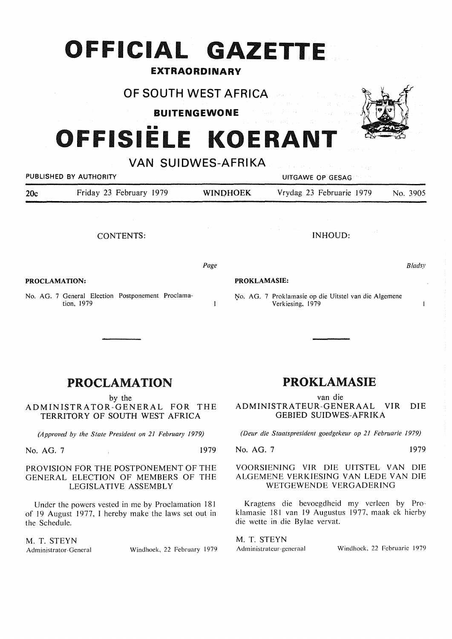## **OFFICIAL GAZETTE**

#### **EXTRAORDINARY**

**OF SOUTH WEST AFRICA** 

**BUITENGEWONE** 

# OFFISIËLE KOERANT

**VAN SUIDWES-AFRIKA**  PUBLISHED BY AUTHORITY **AUTHORITY Example 20 YO FOR AUTHORITY UITGAWE OP GESAG** 20c Friday 23 February 1979 **WINOHOEK** Vrydag 23 Februarie 1979 No. 3905 CONTENTS: **PROCLAMATION:**  *Page*  INHOUD: **PROKLAMASIE:**  *Bladsy* 

 $\mathbf{I}$ 

No. AG. 7 General Election Postponement Proclamation, 1979

## PROCLAMATION

by the

ADMINISTRATOR-GENERAL FOR THE TERRITORY OF SOUTH WEST AFRICA

*(Approved by the State President on 21 February 1979)* 

No. AG. 7 1979

#### PROVISION FOR THE POSTPONEMENT OF THE GENERAL ELECTION OF MEMBERS OF THE LEGISLATIVE ASSEMBLY

Under the powers vested in me by Proclamation 181 of 19 August 1977, I hereby make the laws set out in the Schedule.

M. T. **STEYN** 

Administrator-General Windhoek, 22 February 1979

## PROKLAMASIE

No. AG. 7 Proklamasie op die Uitstel van die Algemene

Verkiesing, 1979

van die

ADMINISTRATEUR-GENERAAL VIR DIE GEBIED SUIDWES-AFRIKA

*(Deur die Staatspresident goedgekeur op 21 Februarie 1979)* 

#### No. AG. 7 1979

 $\mathbf{1}$ 

#### VOORSIENING VIR DIE UITSTEL VAN DIE ALGEMENE VERKIESING VAN LEDE VAN DIE WETGEWENDE VERGADERING

Kragtens die bevoegdheid my verleen by Proklamasie 181 van 19 Augustus 1977, maak ek hierby die wette in die Bylae vervat.

M. T. **STEYN** 

Administrateur-generaal Windhoek, 22 Februarie 1979